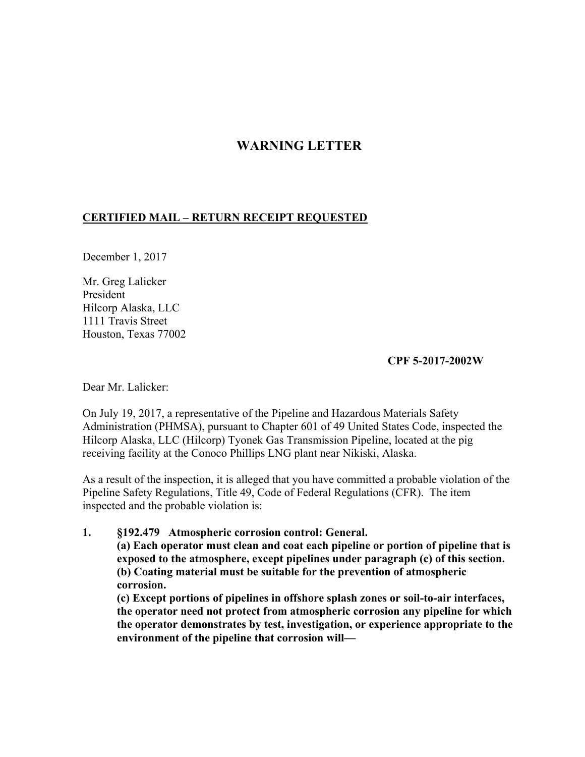# **WARNING LETTER**

# **CERTIFIED MAIL – RETURN RECEIPT REQUESTED**

December 1, 2017

Mr. Greg Lalicker President Hilcorp Alaska, LLC 1111 Travis Street Houston, Texas 77002

### **CPF 5-2017-2002W**

Dear Mr. Lalicker:

On July 19, 2017, a representative of the Pipeline and Hazardous Materials Safety Administration (PHMSA), pursuant to Chapter 601 of 49 United States Code, inspected the Hilcorp Alaska, LLC (Hilcorp) Tyonek Gas Transmission Pipeline, located at the pig receiving facility at the Conoco Phillips LNG plant near Nikiski, Alaska.

As a result of the inspection, it is alleged that you have committed a probable violation of the Pipeline Safety Regulations, Title 49, Code of Federal Regulations (CFR). The item inspected and the probable violation is:

### **1. §192.479 Atmospheric corrosion control: General.**

**(a) Each operator must clean and coat each pipeline or portion of pipeline that is exposed to the atmosphere, except pipelines under paragraph (c) of this section. (b) Coating material must be suitable for the prevention of atmospheric corrosion.**

**(c) Except portions of pipelines in offshore splash zones or soil-to-air interfaces, the operator need not protect from atmospheric corrosion any pipeline for which the operator demonstrates by test, investigation, or experience appropriate to the environment of the pipeline that corrosion will—**